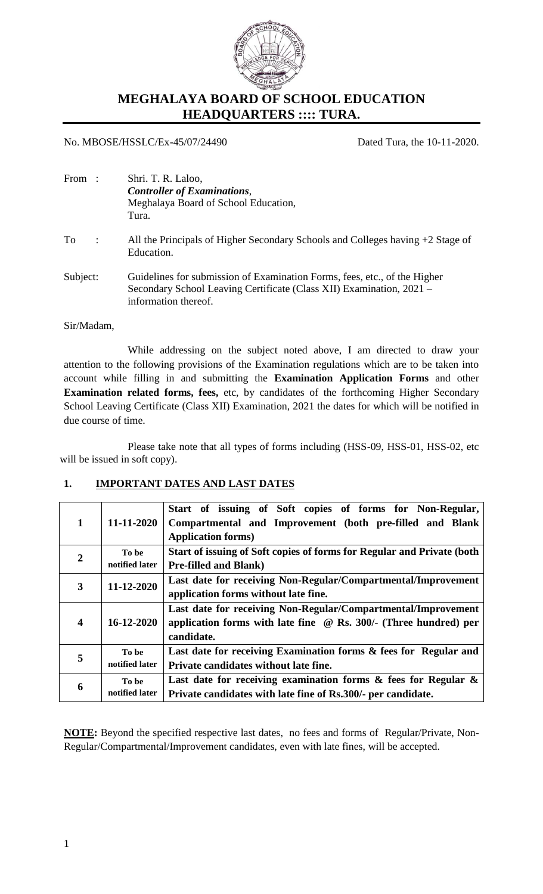

# **MEGHALAYA BOARD OF SCHOOL EDUCATION HEADQUARTERS :::: TURA.**

#### No. MBOSE/HSSLC/Ex-45/07/24490 Dated Tura, the 10-11-2020.

| From:           | Shri. T. R. Laloo,                                                                                                                                                        |
|-----------------|---------------------------------------------------------------------------------------------------------------------------------------------------------------------------|
|                 | <b>Controller of Examinations,</b>                                                                                                                                        |
|                 | Meghalaya Board of School Education,                                                                                                                                      |
|                 | Tura.                                                                                                                                                                     |
| To<br>$\sim$ 1. | All the Principals of Higher Secondary Schools and Colleges having $+2$ Stage of<br>Education.                                                                            |
| Subject:        | Guidelines for submission of Examination Forms, fees, etc., of the Higher<br>Secondary School Leaving Certificate (Class XII) Examination, 2021 -<br>information thereof. |

#### Sir/Madam,

While addressing on the subject noted above, I am directed to draw your attention to the following provisions of the Examination regulations which are to be taken into account while filling in and submitting the **Examination Application Forms** and other **Examination related forms, fees,** etc, by candidates of the forthcoming Higher Secondary School Leaving Certificate (Class XII) Examination, 2021 the dates for which will be notified in due course of time.

Please take note that all types of forms including (HSS-09, HSS-01, HSS-02, etc will be issued in soft copy).

#### **1. IMPORTANT DATES AND LAST DATES**

| $\mathbf{1}$     | 11-11-2020              | Start of issuing of Soft copies of forms for Non-Regular,<br>Compartmental and Improvement (both pre-filled and Blank<br><b>Application forms)</b>      |  |  |  |  |  |
|------------------|-------------------------|---------------------------------------------------------------------------------------------------------------------------------------------------------|--|--|--|--|--|
| $\mathbf{2}$     | To be<br>notified later | Start of issuing of Soft copies of forms for Regular and Private (both<br><b>Pre-filled and Blank)</b>                                                  |  |  |  |  |  |
| 3                | 11-12-2020              | Last date for receiving Non-Regular/Compartmental/Improvement<br>application forms without late fine.                                                   |  |  |  |  |  |
| $\boldsymbol{4}$ | $16 - 12 - 2020$        | Last date for receiving Non-Regular/Compartmental/Improvement<br>application forms with late fine $\oslash$ Rs. 300/- (Three hundred) per<br>candidate. |  |  |  |  |  |
| 5                | To be<br>notified later | Last date for receiving Examination forms & fees for Regular and<br>Private candidates without late fine.                                               |  |  |  |  |  |
| 6                | To be<br>notified later | Last date for receiving examination forms $\&$ fees for Regular $\&$<br>Private candidates with late fine of Rs.300/- per candidate.                    |  |  |  |  |  |

**NOTE:** Beyond the specified respective last dates, no fees and forms of Regular/Private, Non-Regular/Compartmental/Improvement candidates, even with late fines, will be accepted.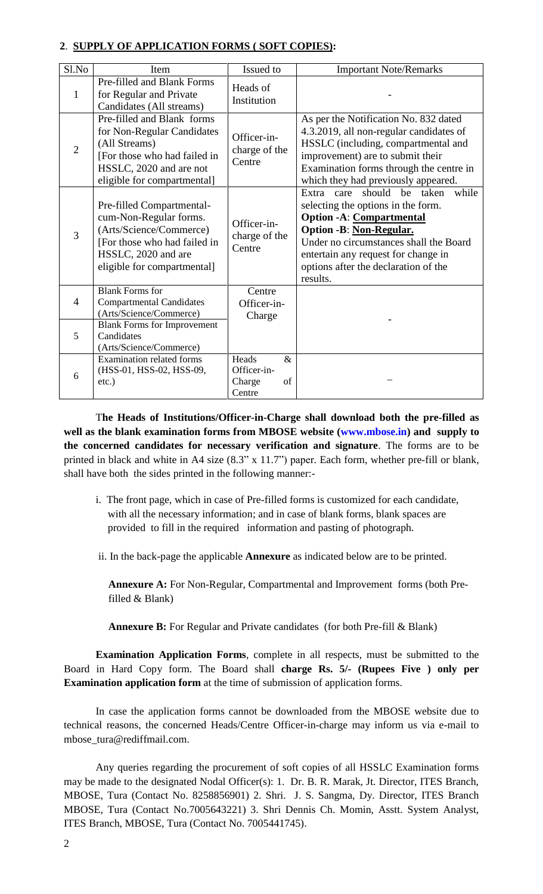#### **2**. **SUPPLY OF APPLICATION FORMS ( SOFT COPIES):**

| Sl.No          | Item                                                                                                                                                                 | Issued to                                              | <b>Important Note/Remarks</b>                                                                                                                                                                                                                                                             |  |  |
|----------------|----------------------------------------------------------------------------------------------------------------------------------------------------------------------|--------------------------------------------------------|-------------------------------------------------------------------------------------------------------------------------------------------------------------------------------------------------------------------------------------------------------------------------------------------|--|--|
| $\mathbf{1}$   | Pre-filled and Blank Forms<br>for Regular and Private<br>Candidates (All streams)                                                                                    | Heads of<br>Institution                                |                                                                                                                                                                                                                                                                                           |  |  |
| 2              | Pre-filled and Blank forms<br>for Non-Regular Candidates<br>(All Streams)<br>[For those who had failed in<br>HSSLC, 2020 and are not<br>eligible for compartmental]  | Officer-in-<br>charge of the<br>Centre                 | As per the Notification No. 832 dated<br>4.3.2019, all non-regular candidates of<br>HSSLC (including, compartmental and<br>improvement) are to submit their<br>Examination forms through the centre in<br>which they had previously appeared.                                             |  |  |
| $\overline{3}$ | Pre-filled Compartmental-<br>cum-Non-Regular forms.<br>(Arts/Science/Commerce)<br>[For those who had failed in<br>HSSLC, 2020 and are<br>eligible for compartmental] | Officer-in-<br>charge of the<br>Centre                 | should<br>be taken<br>Extra care<br>while<br>selecting the options in the form.<br><b>Option -A:</b> Compartmental<br><b>Option -B: Non-Regular.</b><br>Under no circumstances shall the Board<br>entertain any request for change in<br>options after the declaration of the<br>results. |  |  |
| $\overline{4}$ | <b>Blank Forms for</b><br><b>Compartmental Candidates</b><br>(Arts/Science/Commerce)                                                                                 | Centre<br>Officer-in-<br>Charge                        |                                                                                                                                                                                                                                                                                           |  |  |
| 5              | <b>Blank Forms for Improvement</b><br>Candidates<br>(Arts/Science/Commerce)                                                                                          |                                                        |                                                                                                                                                                                                                                                                                           |  |  |
| 6              | <b>Examination related forms</b><br>(HSS-01, HSS-02, HSS-09,<br>$etc.$ )                                                                                             | Heads<br>$\&$<br>Officer-in-<br>of<br>Charge<br>Centre |                                                                                                                                                                                                                                                                                           |  |  |

T**he Heads of Institutions/Officer-in-Charge shall download both the pre-filled as well as the blank examination forms from MBOSE website [\(www.mbose.in\)](http://www.mbose.in/) and supply to the concerned candidates for necessary verification and signature**. The forms are to be printed in black and white in A4 size (8.3" x 11.7") paper. Each form, whether pre-fill or blank, shall have both the sides printed in the following manner:-

- i. The front page, which in case of Pre-filled forms is customized for each candidate, with all the necessary information; and in case of blank forms, blank spaces are provided to fill in the required information and pasting of photograph.
- ii. In the back-page the applicable **Annexure** as indicated below are to be printed.

**Annexure A:** For Non-Regular, Compartmental and Improvement forms (both Prefilled & Blank)

**Annexure B:** For Regular and Private candidates (for both Pre-fill & Blank)

**Examination Application Forms**, complete in all respects, must be submitted to the Board in Hard Copy form. The Board shall **charge Rs. 5/- (Rupees Five ) only per Examination application form** at the time of submission of application forms.

In case the application forms cannot be downloaded from the MBOSE website due to technical reasons, the concerned Heads/Centre Officer-in-charge may inform us via e-mail to mbose\_tura@rediffmail.com.

Any queries regarding the procurement of soft copies of all HSSLC Examination forms may be made to the designated Nodal Officer(s): 1. Dr. B. R. Marak, Jt. Director, ITES Branch, MBOSE, Tura (Contact No. 8258856901) 2. Shri. J. S. Sangma, Dy. Director, ITES Branch MBOSE, Tura (Contact No.7005643221) 3. Shri Dennis Ch. Momin, Asstt. System Analyst, ITES Branch, MBOSE, Tura (Contact No. 7005441745).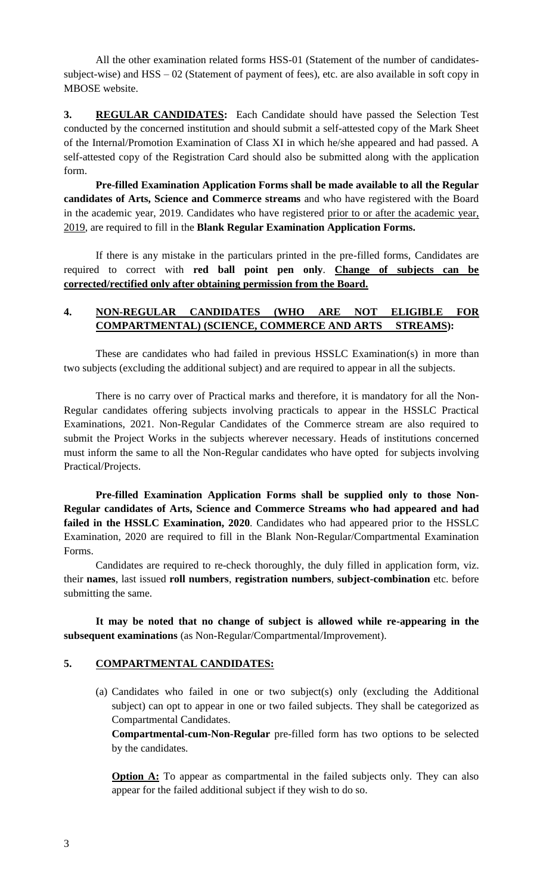All the other examination related forms HSS-01 (Statement of the number of candidatessubject-wise) and HSS – 02 (Statement of payment of fees), etc. are also available in soft copy in MBOSE website.

**3. REGULAR CANDIDATES:** Each Candidate should have passed the Selection Test conducted by the concerned institution and should submit a self-attested copy of the Mark Sheet of the Internal/Promotion Examination of Class XI in which he/she appeared and had passed. A self-attested copy of the Registration Card should also be submitted along with the application form.

**Pre-filled Examination Application Forms shall be made available to all the Regular candidates of Arts, Science and Commerce streams** and who have registered with the Board in the academic year, 2019. Candidates who have registered prior to or after the academic year, 2019, are required to fill in the **Blank Regular Examination Application Forms.** 

If there is any mistake in the particulars printed in the pre-filled forms, Candidates are required to correct with **red ball point pen only**. **Change of subjects can be corrected/rectified only after obtaining permission from the Board.**

## **4. NON-REGULAR CANDIDATES (WHO ARE NOT ELIGIBLE FOR COMPARTMENTAL) (SCIENCE, COMMERCE AND ARTS STREAMS):**

These are candidates who had failed in previous HSSLC Examination(s) in more than two subjects (excluding the additional subject) and are required to appear in all the subjects.

There is no carry over of Practical marks and therefore, it is mandatory for all the Non-Regular candidates offering subjects involving practicals to appear in the HSSLC Practical Examinations, 2021. Non-Regular Candidates of the Commerce stream are also required to submit the Project Works in the subjects wherever necessary. Heads of institutions concerned must inform the same to all the Non-Regular candidates who have opted for subjects involving Practical/Projects.

 **Pre-filled Examination Application Forms shall be supplied only to those Non-Regular candidates of Arts, Science and Commerce Streams who had appeared and had failed in the HSSLC Examination, 2020**. Candidates who had appeared prior to the HSSLC Examination, 2020 are required to fill in the Blank Non-Regular/Compartmental Examination Forms.

Candidates are required to re-check thoroughly, the duly filled in application form, viz. their **names**, last issued **roll numbers**, **registration numbers**, **subject-combination** etc. before submitting the same.

**It may be noted that no change of subject is allowed while re-appearing in the subsequent examinations** (as Non-Regular/Compartmental/Improvement).

#### **5. COMPARTMENTAL CANDIDATES:**

(a) Candidates who failed in one or two subject(s) only (excluding the Additional subject) can opt to appear in one or two failed subjects. They shall be categorized as Compartmental Candidates.

**Compartmental-cum-Non-Regular** pre-filled form has two options to be selected by the candidates.

**Option A:** To appear as compartmental in the failed subjects only. They can also appear for the failed additional subject if they wish to do so.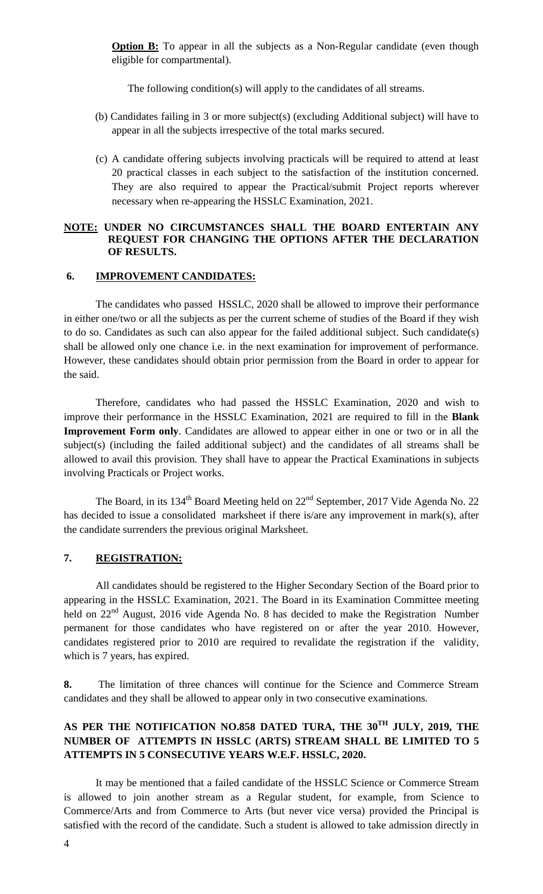**Option B:** To appear in all the subjects as a Non-Regular candidate (even though eligible for compartmental).

The following condition(s) will apply to the candidates of all streams.

- (b) Candidates failing in 3 or more subject(s) (excluding Additional subject) will have to appear in all the subjects irrespective of the total marks secured.
- (c) A candidate offering subjects involving practicals will be required to attend at least 20 practical classes in each subject to the satisfaction of the institution concerned. They are also required to appear the Practical/submit Project reports wherever necessary when re-appearing the HSSLC Examination, 2021.

#### **NOTE: UNDER NO CIRCUMSTANCES SHALL THE BOARD ENTERTAIN ANY REQUEST FOR CHANGING THE OPTIONS AFTER THE DECLARATION OF RESULTS.**

#### **6. IMPROVEMENT CANDIDATES:**

The candidates who passed HSSLC, 2020 shall be allowed to improve their performance in either one/two or all the subjects as per the current scheme of studies of the Board if they wish to do so. Candidates as such can also appear for the failed additional subject. Such candidate(s) shall be allowed only one chance i.e. in the next examination for improvement of performance. However, these candidates should obtain prior permission from the Board in order to appear for the said.

Therefore, candidates who had passed the HSSLC Examination, 2020 and wish to improve their performance in the HSSLC Examination, 2021 are required to fill in the **Blank Improvement Form only**. Candidates are allowed to appear either in one or two or in all the subject(s) (including the failed additional subject) and the candidates of all streams shall be allowed to avail this provision. They shall have to appear the Practical Examinations in subjects involving Practicals or Project works.

The Board, in its 134<sup>th</sup> Board Meeting held on 22<sup>nd</sup> September, 2017 Vide Agenda No. 22 has decided to issue a consolidated marksheet if there is/are any improvement in mark(s), after the candidate surrenders the previous original Marksheet.

### **7. REGISTRATION:**

All candidates should be registered to the Higher Secondary Section of the Board prior to appearing in the HSSLC Examination, 2021. The Board in its Examination Committee meeting held on  $22<sup>nd</sup>$  August, 2016 vide Agenda No. 8 has decided to make the Registration Number permanent for those candidates who have registered on or after the year 2010. However, candidates registered prior to 2010 are required to revalidate the registration if the validity, which is 7 years, has expired.

**8.** The limitation of three chances will continue for the Science and Commerce Stream candidates and they shall be allowed to appear only in two consecutive examinations.

# **AS PER THE NOTIFICATION NO.858 DATED TURA, THE 30TH JULY, 2019, THE NUMBER OF ATTEMPTS IN HSSLC (ARTS) STREAM SHALL BE LIMITED TO 5 ATTEMPTS IN 5 CONSECUTIVE YEARS W.E.F. HSSLC, 2020.**

It may be mentioned that a failed candidate of the HSSLC Science or Commerce Stream is allowed to join another stream as a Regular student, for example, from Science to Commerce/Arts and from Commerce to Arts (but never vice versa) provided the Principal is satisfied with the record of the candidate. Such a student is allowed to take admission directly in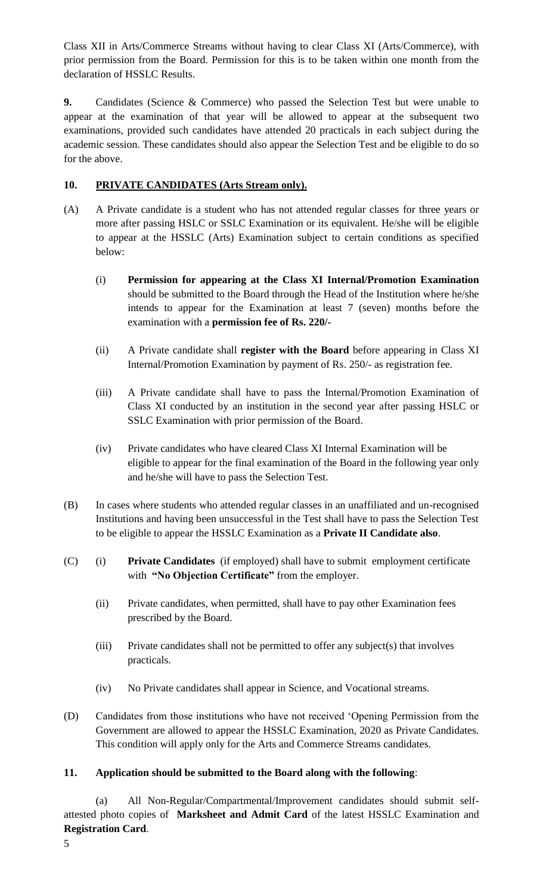Class XII in Arts/Commerce Streams without having to clear Class XI (Arts/Commerce), with prior permission from the Board. Permission for this is to be taken within one month from the declaration of HSSLC Results.

**9.** Candidates (Science & Commerce) who passed the Selection Test but were unable to appear at the examination of that year will be allowed to appear at the subsequent two examinations, provided such candidates have attended 20 practicals in each subject during the academic session. These candidates should also appear the Selection Test and be eligible to do so for the above.

# **10. PRIVATE CANDIDATES (Arts Stream only).**

- (A) A Private candidate is a student who has not attended regular classes for three years or more after passing HSLC or SSLC Examination or its equivalent. He/she will be eligible to appear at the HSSLC (Arts) Examination subject to certain conditions as specified below:
	- (i) **Permission for appearing at the Class XI Internal/Promotion Examination** should be submitted to the Board through the Head of the Institution where he/she intends to appear for the Examination at least 7 (seven) months before the examination with a **permission fee of Rs. 220/-**
	- (ii) A Private candidate shall **register with the Board** before appearing in Class XI Internal/Promotion Examination by payment of Rs. 250/- as registration fee.
	- (iii) A Private candidate shall have to pass the Internal/Promotion Examination of Class XI conducted by an institution in the second year after passing HSLC or SSLC Examination with prior permission of the Board.
	- (iv) Private candidates who have cleared Class XI Internal Examination will be eligible to appear for the final examination of the Board in the following year only and he/she will have to pass the Selection Test.
- (B) In cases where students who attended regular classes in an unaffiliated and un-recognised Institutions and having been unsuccessful in the Test shall have to pass the Selection Test to be eligible to appear the HSSLC Examination as a **Private II Candidate also**.
- (C) (i) **Private Candidates** (if employed) shall have to submit employment certificate with **"No Objection Certificate"** from the employer.
	- (ii) Private candidates, when permitted, shall have to pay other Examination fees prescribed by the Board.
	- (iii) Private candidates shall not be permitted to offer any subject(s) that involves practicals.
	- (iv) No Private candidates shall appear in Science, and Vocational streams.
- (D) Candidates from those institutions who have not received "Opening Permission from the Government are allowed to appear the HSSLC Examination, 2020 as Private Candidates. This condition will apply only for the Arts and Commerce Streams candidates.

# **11. Application should be submitted to the Board along with the following**:

(a) All Non-Regular/Compartmental/Improvement candidates should submit selfattested photo copies of **Marksheet and Admit Card** of the latest HSSLC Examination and **Registration Card**.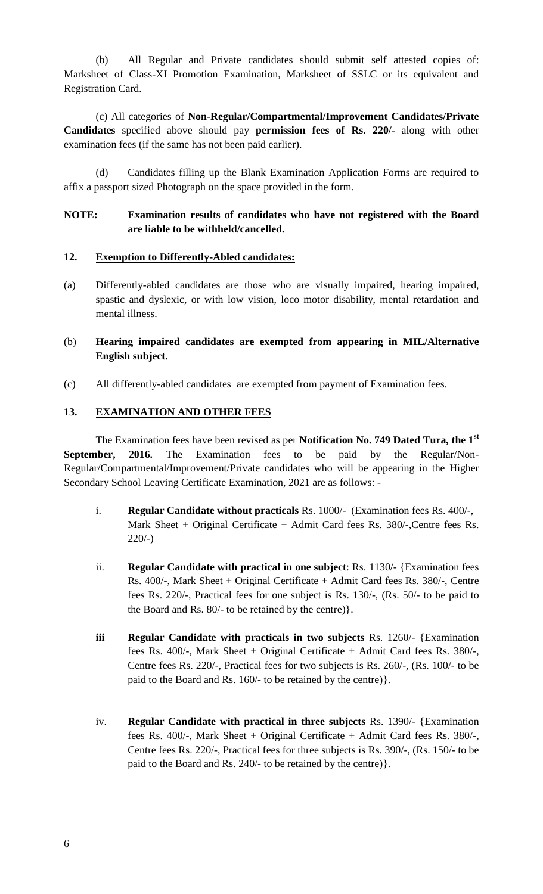(b) All Regular and Private candidates should submit self attested copies of: Marksheet of Class-XI Promotion Examination, Marksheet of SSLC or its equivalent and Registration Card.

(c) All categories of **Non-Regular/Compartmental/Improvement Candidates/Private Candidates** specified above should pay **permission fees of Rs. 220/-** along with other examination fees (if the same has not been paid earlier).

(d) Candidates filling up the Blank Examination Application Forms are required to affix a passport sized Photograph on the space provided in the form.

### **NOTE: Examination results of candidates who have not registered with the Board are liable to be withheld/cancelled.**

#### **12. Exemption to Differently-Abled candidates:**

(a) Differently-abled candidates are those who are visually impaired, hearing impaired, spastic and dyslexic, or with low vision, loco motor disability, mental retardation and mental illness.

### (b) **Hearing impaired candidates are exempted from appearing in MIL/Alternative English subject.**

(c) All differently-abled candidates are exempted from payment of Examination fees.

#### **13. EXAMINATION AND OTHER FEES**

The Examination fees have been revised as per **Notification No. 749 Dated Tura, the 1st September, 2016.** The Examination fees to be paid by the Regular/Non-Regular/Compartmental/Improvement/Private candidates who will be appearing in the Higher Secondary School Leaving Certificate Examination, 2021 are as follows: -

- i. **Regular Candidate without practicals** Rs. 1000/- (Examination fees Rs. 400/-, Mark Sheet + Original Certificate + Admit Card fees Rs. 380/-,Centre fees Rs. 220/-)
- ii. **Regular Candidate with practical in one subject**: Rs. 1130/- {Examination fees Rs. 400/-, Mark Sheet + Original Certificate + Admit Card fees Rs. 380/-, Centre fees Rs. 220/-, Practical fees for one subject is Rs. 130/-, (Rs. 50/- to be paid to the Board and Rs. 80/- to be retained by the centre)}.
- **iii Regular Candidate with practicals in two subjects** Rs. 1260/- {Examination fees Rs. 400/-, Mark Sheet + Original Certificate + Admit Card fees Rs. 380/-, Centre fees Rs. 220/-, Practical fees for two subjects is Rs. 260/-, (Rs. 100/- to be paid to the Board and Rs. 160/- to be retained by the centre)}.
- iv. **Regular Candidate with practical in three subjects** Rs. 1390/- {Examination fees Rs. 400/-, Mark Sheet + Original Certificate + Admit Card fees Rs. 380/-, Centre fees Rs. 220/-, Practical fees for three subjects is Rs. 390/-, (Rs. 150/- to be paid to the Board and Rs. 240/- to be retained by the centre)}.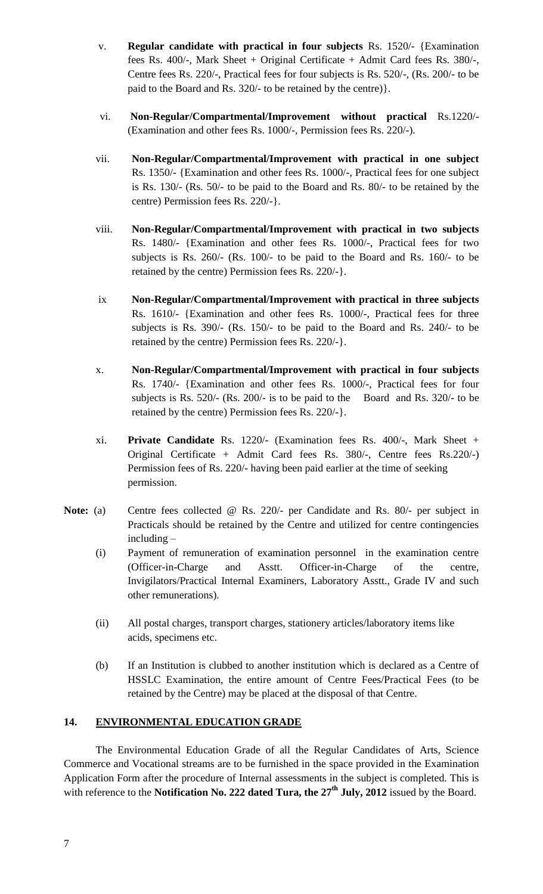- v. **Regular candidate with practical in four subjects** Rs. 1520/- {Examination fees Rs. 400/-, Mark Sheet + Original Certificate + Admit Card fees Rs. 380/-, Centre fees Rs. 220/-, Practical fees for four subjects is Rs. 520/-, (Rs. 200/- to be paid to the Board and Rs. 320/- to be retained by the centre)}.
- vi. **Non-Regular/Compartmental/Improvement without practical** Rs.1220/- (Examination and other fees Rs. 1000/-, Permission fees Rs. 220/-).
- vii. **Non-Regular/Compartmental/Improvement with practical in one subject** Rs. 1350/- {Examination and other fees Rs. 1000/-, Practical fees for one subject is Rs. 130/- (Rs. 50/- to be paid to the Board and Rs. 80/- to be retained by the centre) Permission fees Rs. 220/-}.
- viii. **Non-Regular/Compartmental/Improvement with practical in two subjects** Rs. 1480/- {Examination and other fees Rs. 1000/-, Practical fees for two subjects is Rs. 260/- (Rs. 100/- to be paid to the Board and Rs. 160/- to be retained by the centre) Permission fees Rs. 220/-}.
- ix **Non-Regular/Compartmental/Improvement with practical in three subjects** Rs. 1610/- {Examination and other fees Rs. 1000/-, Practical fees for three subjects is Rs. 390/- (Rs. 150/- to be paid to the Board and Rs. 240/- to be retained by the centre) Permission fees Rs. 220/-}.
- x. **Non-Regular/Compartmental/Improvement with practical in four subjects** Rs. 1740/- {Examination and other fees Rs. 1000/-, Practical fees for four subjects is Rs. 520/- (Rs. 200/- is to be paid to the Board and Rs. 320/- to be retained by the centre) Permission fees Rs. 220/-}.
- xi. **Private Candidate** Rs. 1220/- (Examination fees Rs. 400/-, Mark Sheet + Original Certificate + Admit Card fees Rs. 380/-, Centre fees Rs.220/-) Permission fees of Rs. 220/- having been paid earlier at the time of seeking permission.
- **Note:** (a) Centre fees collected @ Rs. 220/- per Candidate and Rs. 80/- per subject in Practicals should be retained by the Centre and utilized for centre contingencies including –
	- (i) Payment of remuneration of examination personnel in the examination centre (Officer-in-Charge and Asstt. Officer-in-Charge of the centre, Invigilators/Practical Internal Examiners, Laboratory Asstt., Grade IV and such other remunerations).
	- (ii) All postal charges, transport charges, stationery articles/laboratory items like acids, specimens etc.
	- (b) If an Institution is clubbed to another institution which is declared as a Centre of HSSLC Examination, the entire amount of Centre Fees/Practical Fees (to be retained by the Centre) may be placed at the disposal of that Centre.

### **14. ENVIRONMENTAL EDUCATION GRADE**

The Environmental Education Grade of all the Regular Candidates of Arts, Science Commerce and Vocational streams are to be furnished in the space provided in the Examination Application Form after the procedure of Internal assessments in the subject is completed. This is with reference to the **Notification No. 222 dated Tura, the 27th July, 2012** issued by the Board.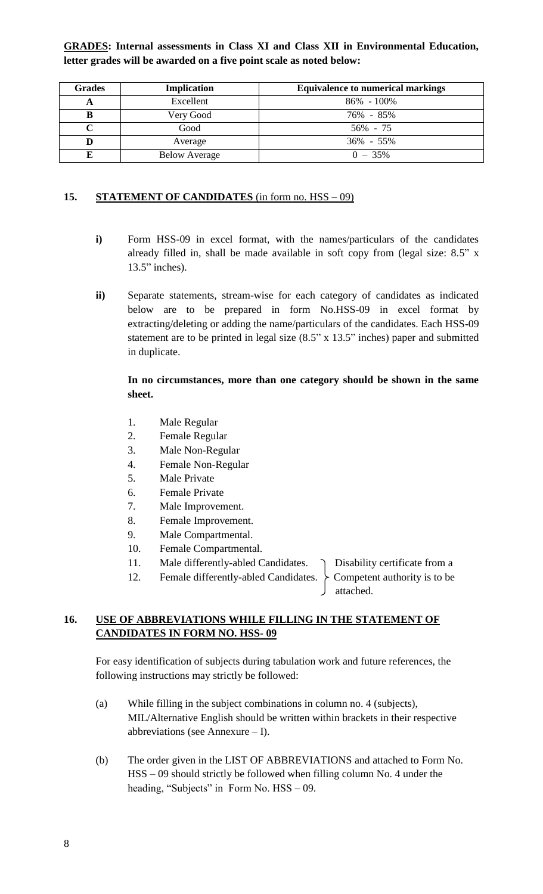**GRADES: Internal assessments in Class XI and Class XII in Environmental Education, letter grades will be awarded on a five point scale as noted below:**

| <b>Grades</b> | <b>Implication</b>   | <b>Equivalence to numerical markings</b> |
|---------------|----------------------|------------------------------------------|
|               | Excellent            | $86\% - 100\%$                           |
|               | Very Good            | 76% - 85%                                |
|               | Good                 | 56% - 75                                 |
|               | Average              | $36\% - 55\%$                            |
|               | <b>Below Average</b> | $0 - 35\%$                               |

### 15. **STATEMENT OF CANDIDATES** (in form no. HSS – 09)

- **i)** Form HSS-09 in excel format, with the names/particulars of the candidates already filled in, shall be made available in soft copy from (legal size: 8.5" x 13.5" inches).
- **ii)** Separate statements, stream-wise for each category of candidates as indicated below are to be prepared in form No.HSS-09 in excel format by extracting/deleting or adding the name/particulars of the candidates. Each HSS-09 statement are to be printed in legal size (8.5" x 13.5" inches) paper and submitted in duplicate.

## **In no circumstances, more than one category should be shown in the same sheet.**

- 1. Male Regular
- 2. Female Regular
- 3. Male Non-Regular
- 4. Female Non-Regular
- 5. Male Private
- 6. Female Private
- 7. Male Improvement.
- 8. Female Improvement.
- 9. Male Compartmental.
- 10. Female Compartmental.
- 11. Male differently-abled Candidates.  $\bigcap$  Disability certificate from a
- 12. Female differently-abled Candidates.  $\{$  Competent authority is to be

attached.

## **16. USE OF ABBREVIATIONS WHILE FILLING IN THE STATEMENT OF CANDIDATES IN FORM NO. HSS- 09**

For easy identification of subjects during tabulation work and future references, the following instructions may strictly be followed:

- (a) While filling in the subject combinations in column no. 4 (subjects), MIL/Alternative English should be written within brackets in their respective abbreviations (see Annexure – I).
- (b) The order given in the LIST OF ABBREVIATIONS and attached to Form No. HSS – 09 should strictly be followed when filling column No. 4 under the heading, "Subjects" in Form No. HSS – 09.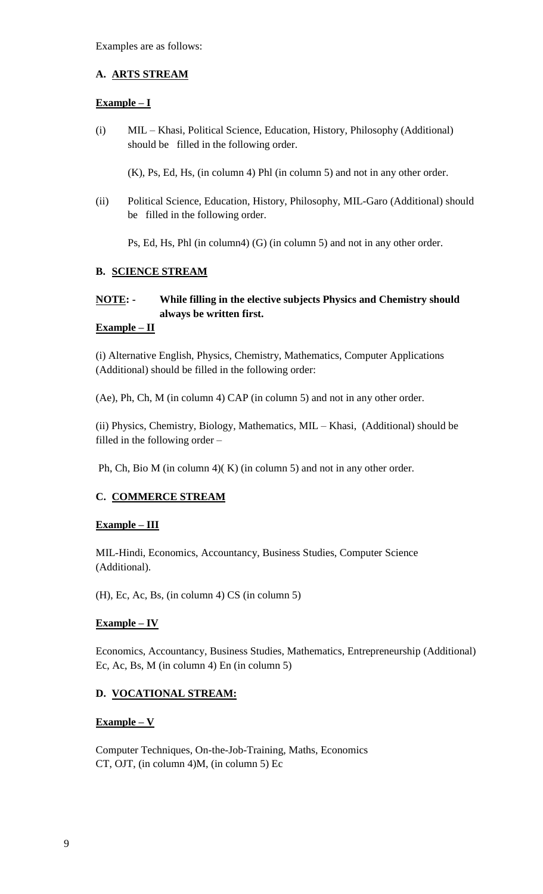Examples are as follows:

## **A. ARTS STREAM**

## **Example – I**

(i) MIL – Khasi, Political Science, Education, History, Philosophy (Additional) should be filled in the following order.

(K), Ps, Ed, Hs, (in column 4) Phl (in column 5) and not in any other order.

(ii) Political Science, Education, History, Philosophy, MIL-Garo (Additional) should be filled in the following order.

Ps, Ed, Hs, Phl (in column4) (G) (in column 5) and not in any other order.

# **B. SCIENCE STREAM**

# **NOTE: - While filling in the elective subjects Physics and Chemistry should always be written first.**

## **Example – II**

(i) Alternative English, Physics, Chemistry, Mathematics, Computer Applications (Additional) should be filled in the following order:

(Ae), Ph, Ch, M (in column 4) CAP (in column 5) and not in any other order.

(ii) Physics, Chemistry, Biology, Mathematics, MIL – Khasi, (Additional) should be filled in the following order –

Ph, Ch, Bio M (in column 4)( K) (in column 5) and not in any other order.

# **C. COMMERCE STREAM**

# **Example – III**

MIL-Hindi, Economics, Accountancy, Business Studies, Computer Science (Additional).

(H), Ec, Ac, Bs, (in column 4) CS (in column 5)

### **Example – IV**

Economics, Accountancy, Business Studies, Mathematics, Entrepreneurship (Additional) Ec, Ac, Bs, M (in column 4) En (in column 5)

# **D. VOCATIONAL STREAM:**

### **Example – V**

Computer Techniques, On-the-Job-Training, Maths, Economics CT, OJT, (in column 4)M, (in column 5) Ec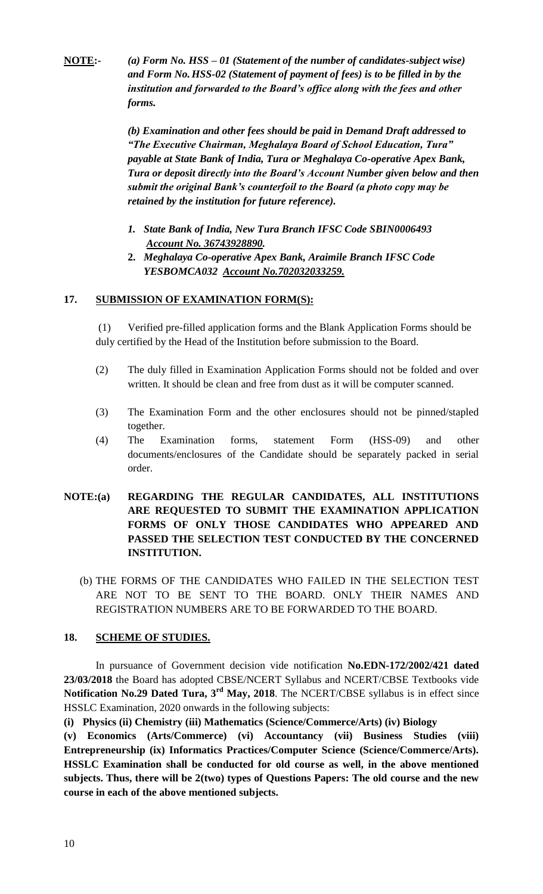**NOTE:-** *(a) Form No. HSS – 01 (Statement of the number of candidates-subject wise) and Form No.HSS-02 (Statement of payment of fees) is to be filled in by the institution and forwarded to the Board's office along with the fees and other forms.*

> *(b) Examination and other fees should be paid in Demand Draft addressed to "The Executive Chairman, Meghalaya Board of School Education, Tura" payable at State Bank of India, Tura or Meghalaya Co-operative Apex Bank, Tura or deposit directly into the Board's Account Number given below and then submit the original Bank's counterfoil to the Board (a photo copy may be retained by the institution for future reference).*

- *1. State Bank of India, New Tura Branch IFSC Code SBIN0006493 Account No. 36743928890.*
- **2.** *Meghalaya Co-operative Apex Bank, Araimile Branch IFSC Code YESBOMCA032 Account No.702032033259.*

## **17. SUBMISSION OF EXAMINATION FORM(S):**

(1) Verified pre-filled application forms and the Blank Application Forms should be duly certified by the Head of the Institution before submission to the Board.

- (2) The duly filled in Examination Application Forms should not be folded and over written. It should be clean and free from dust as it will be computer scanned.
- (3) The Examination Form and the other enclosures should not be pinned/stapled together.
- (4) The Examination forms, statement Form (HSS-09) and other documents/enclosures of the Candidate should be separately packed in serial order.
- **NOTE:(a) REGARDING THE REGULAR CANDIDATES, ALL INSTITUTIONS ARE REQUESTED TO SUBMIT THE EXAMINATION APPLICATION FORMS OF ONLY THOSE CANDIDATES WHO APPEARED AND PASSED THE SELECTION TEST CONDUCTED BY THE CONCERNED INSTITUTION.** 
	- (b) THE FORMS OF THE CANDIDATES WHO FAILED IN THE SELECTION TEST ARE NOT TO BE SENT TO THE BOARD. ONLY THEIR NAMES AND REGISTRATION NUMBERS ARE TO BE FORWARDED TO THE BOARD.

### **18. SCHEME OF STUDIES.**

In pursuance of Government decision vide notification **No.EDN-172/2002/421 dated 23/03/2018** the Board has adopted CBSE/NCERT Syllabus and NCERT/CBSE Textbooks vide **Notification No.29 Dated Tura, 3rd May, 2018**. The NCERT/CBSE syllabus is in effect since HSSLC Examination, 2020 onwards in the following subjects:

**(i) Physics (ii) Chemistry (iii) Mathematics (Science/Commerce/Arts) (iv) Biology** 

**(v) Economics (Arts/Commerce) (vi) Accountancy (vii) Business Studies (viii) Entrepreneurship (ix) Informatics Practices/Computer Science (Science/Commerce/Arts). HSSLC Examination shall be conducted for old course as well, in the above mentioned subjects. Thus, there will be 2(two) types of Questions Papers: The old course and the new course in each of the above mentioned subjects.**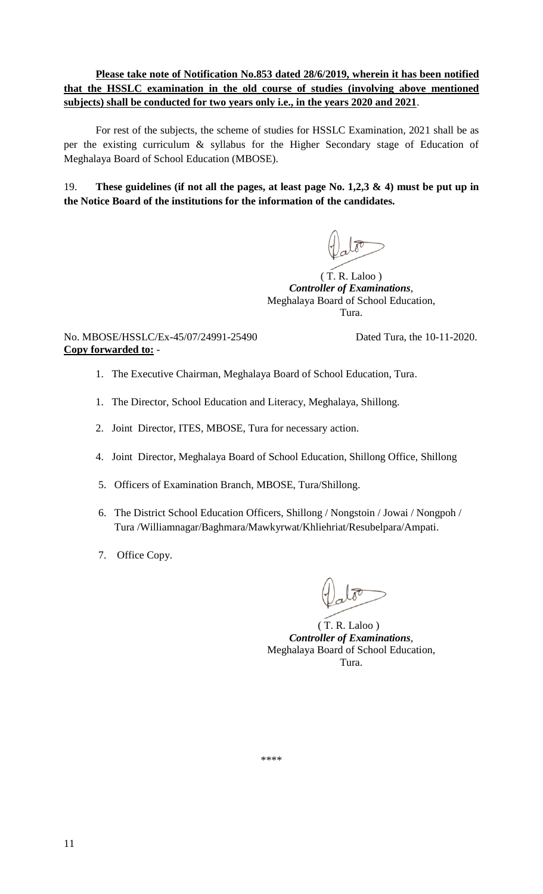## **Please take note of Notification No.853 dated 28/6/2019, wherein it has been notified that the HSSLC examination in the old course of studies (involving above mentioned subjects) shall be conducted for two years only i.e., in the years 2020 and 2021**.

For rest of the subjects, the scheme of studies for HSSLC Examination, 2021 shall be as per the existing curriculum & syllabus for the Higher Secondary stage of Education of Meghalaya Board of School Education (MBOSE).

19. **These guidelines (if not all the pages, at least page No. 1,2,3 & 4) must be put up in the Notice Board of the institutions for the information of the candidates.**

 $(T. R.$  Laloo  $)$ *Controller of Examinations*, Meghalaya Board of School Education, Tura.

No. MBOSE/HSSLC/Ex-45/07/24991-25490 Dated Tura, the 10-11-2020. **Copy forwarded to:** -

- 1. The Executive Chairman, Meghalaya Board of School Education, Tura.
- 1. The Director, School Education and Literacy, Meghalaya, Shillong.
- 2. Joint Director, ITES, MBOSE, Tura for necessary action.
- 4. Joint Director, Meghalaya Board of School Education, Shillong Office, Shillong
- 5. Officers of Examination Branch, MBOSE, Tura/Shillong.
- 6. The District School Education Officers, Shillong / Nongstoin / Jowai / Nongpoh / Tura /Williamnagar/Baghmara/Mawkyrwat/Khliehriat/Resubelpara/Ampati.
- 7. Office Copy.

 ( T. R. Laloo ) *Controller of Examinations*, Meghalaya Board of School Education, Tura.

\*\*\*\*